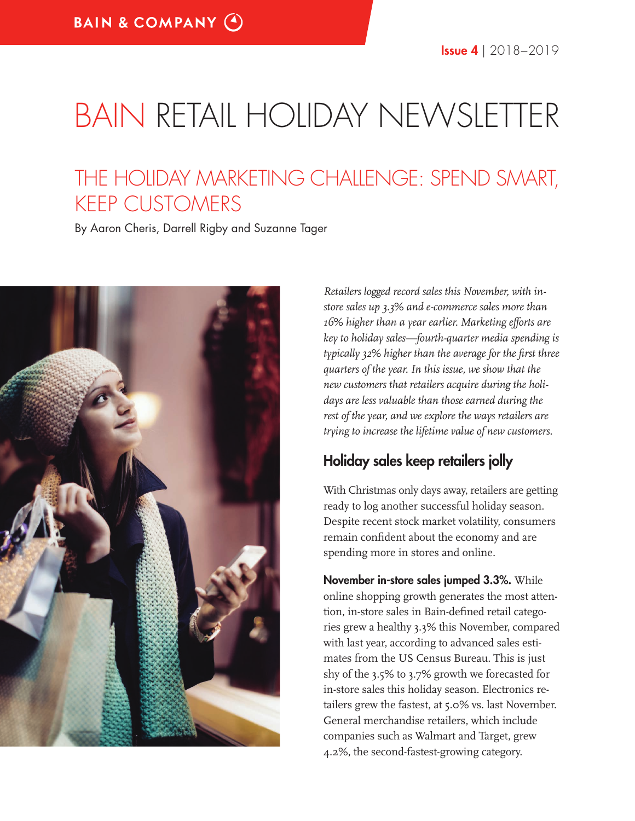# BAIN RETAIL HOLIDAY NEWSLETTER

# THE HOLIDAY MARKETING CHALLENGE: SPEND SMART, KEEP CUSTOMERS

By Aaron Cheris, Darrell Rigby and Suzanne Tager



*Retailers logged record sales this November, with instore sales up 3.3% and e-commerce sales more than 16% higher than a year earlier. Marketing efforts are key to holiday sales—fourth-quarter media spending is typically 32% higher than the average for the first three quarters of the year. In this issue, we show that the new customers that retailers acquire during the holidays are less valuable than those earned during the rest of the year, and we explore the ways retailers are trying to increase the lifetime value of new customers.* 

#### Holiday sales keep retailers jolly

With Christmas only days away, retailers are getting ready to log another successful holiday season. Despite recent stock market volatility, consumers remain confident about the economy and are spending more in stores and online.

November in-store sales jumped 3.3%. While online shopping growth generates the most attention, in-store sales in Bain-defined retail categories grew a healthy 3.3% this November, compared with last year, according to advanced sales estimates from the US Census Bureau. This is just shy of the 3.5% to 3.7% growth we forecasted for in-store sales this holiday season. Electronics retailers grew the fastest, at 5.0% vs. last November. General merchandise retailers, which include companies such as Walmart and Target, grew 4.2%, the second-fastest-growing category.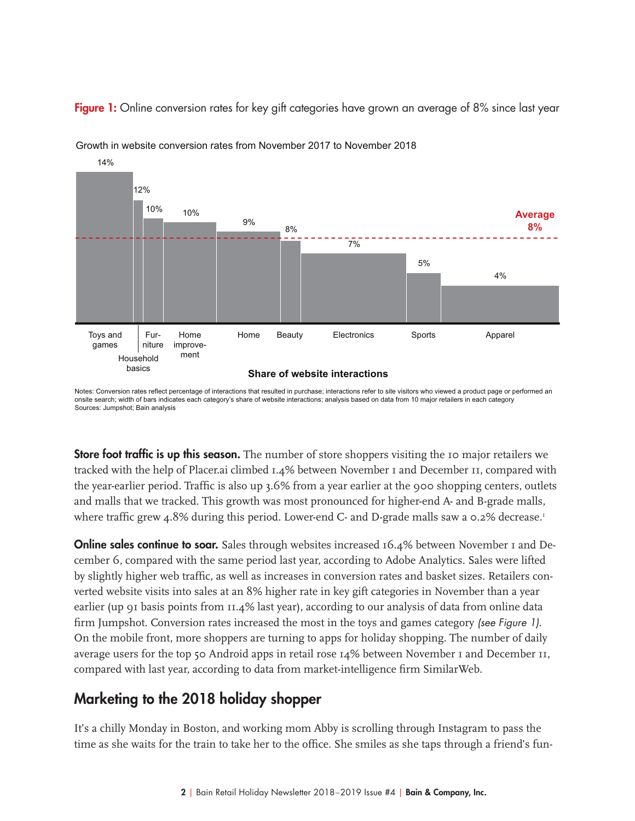

Figure 1: Online conversion rates for key gift categories have grown an average of 8% since last year

Growth in website conversion rates from November 2017 to November 2018

Notes: Conversion rates reflect percentage of interactions that resulted in purchase; interactions refer to site visitors who viewed a product page or performed an onsite search; width of bars indicates each category's share of website interactions; analysis based on data from 10 major retailers in each category Sources: Jumpshot; Bain analysis

**Store foot traffic is up this season.** The number of store shoppers visiting the 10 major retailers we tracked with the help of Placer.ai climbed 1.4% between November 1 and December 11, compared with the year-earlier period. Traffic is also up 3.6% from a year earlier at the 900 shopping centers, outlets and malls that we tracked. This growth was most pronounced for higher-end A- and B-grade malls, where traffic grew 4.8% during this period. Lower-end C- and D-grade malls saw a 0.2% decrease.<sup>1</sup>

**Online sales continue to soar.** Sales through websites increased 16.4% between November 1 and December 6, compared with the same period last year, according to Adobe Analytics. Sales were lifted by slightly higher web traffic, as well as increases in conversion rates and basket sizes. Retailers converted website visits into sales at an 8% higher rate in key gift categories in November than a year earlier (up 91 basis points from 11.4% last year), according to our analysis of data from online data firm Jumpshot. Conversion rates increased the most in the toys and games category (see Figure 1). On the mobile front, more shoppers are turning to apps for holiday shopping. The number of daily average users for the top 50 Android apps in retail rose 14% between November 1 and December 11, compared with last year, according to data from market-intelligence firm SimilarWeb.

#### Marketing to the 2018 holiday shopper

It's a chilly Monday in Boston, and working mom Abby is scrolling through Instagram to pass the time as she waits for the train to take her to the office. She smiles as she taps through a friend's fun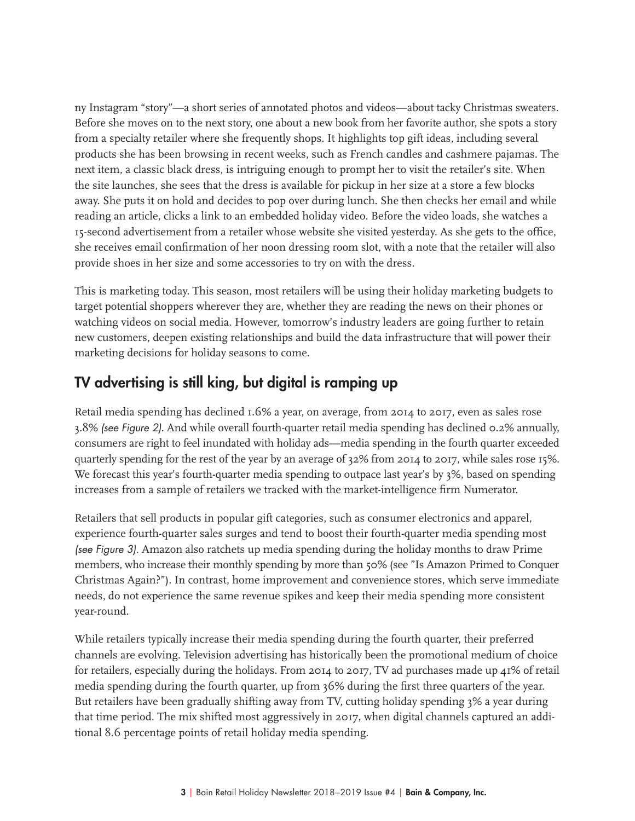ny Instagram "story"—a short series of annotated photos and videos—about tacky Christmas sweaters. Before she moves on to the next story, one about a new book from her favorite author, she spots a story from a specialty retailer where she frequently shops. It highlights top gift ideas, including several products she has been browsing in recent weeks, such as French candles and cashmere pajamas. The next item, a classic black dress, is intriguing enough to prompt her to visit the retailer's site. When the site launches, she sees that the dress is available for pickup in her size at a store a few blocks away. She puts it on hold and decides to pop over during lunch. She then checks her email and while reading an article, clicks a link to an embedded holiday video. Before the video loads, she watches a 15-second advertisement from a retailer whose website she visited yesterday. As she gets to the office, she receives email confirmation of her noon dressing room slot, with a note that the retailer will also provide shoes in her size and some accessories to try on with the dress.

This is marketing today. This season, most retailers will be using their holiday marketing budgets to target potential shoppers wherever they are, whether they are reading the news on their phones or watching videos on social media. However, tomorrow's industry leaders are going further to retain new customers, deepen existing relationships and build the data infrastructure that will power their marketing decisions for holiday seasons to come.

### TV advertising is still king, but digital is ramping up

Retail media spending has declined 1.6% a year, on average, from 2014 to 2017, even as sales rose 3.8% (see Figure 2). And while overall fourth-quarter retail media spending has declined 0.2% annually, consumers are right to feel inundated with holiday ads—media spending in the fourth quarter exceeded quarterly spending for the rest of the year by an average of 32% from 2014 to 2017, while sales rose 15%. We forecast this year's fourth-quarter media spending to outpace last year's by 3%, based on spending increases from a sample of retailers we tracked with the market-intelligence firm Numerator.

Retailers that sell products in popular gift categories, such as consumer electronics and apparel, experience fourth-quarter sales surges and tend to boost their fourth-quarter media spending most (see Figure 3). Amazon also ratchets up media spending during the holiday months to draw Prime members, who increase their monthly spending by more than 50% (see "Is Amazon Primed to Conquer Christmas Again?"). In contrast, home improvement and convenience stores, which serve immediate needs, do not experience the same revenue spikes and keep their media spending more consistent year-round.

While retailers typically increase their media spending during the fourth quarter, their preferred channels are evolving. Television advertising has historically been the promotional medium of choice for retailers, especially during the holidays. From 2014 to 2017, TV ad purchases made up 41% of retail media spending during the fourth quarter, up from 36% during the first three quarters of the year. But retailers have been gradually shifting away from TV, cutting holiday spending 3% a year during that time period. The mix shifted most aggressively in 2017, when digital channels captured an additional 8.6 percentage points of retail holiday media spending.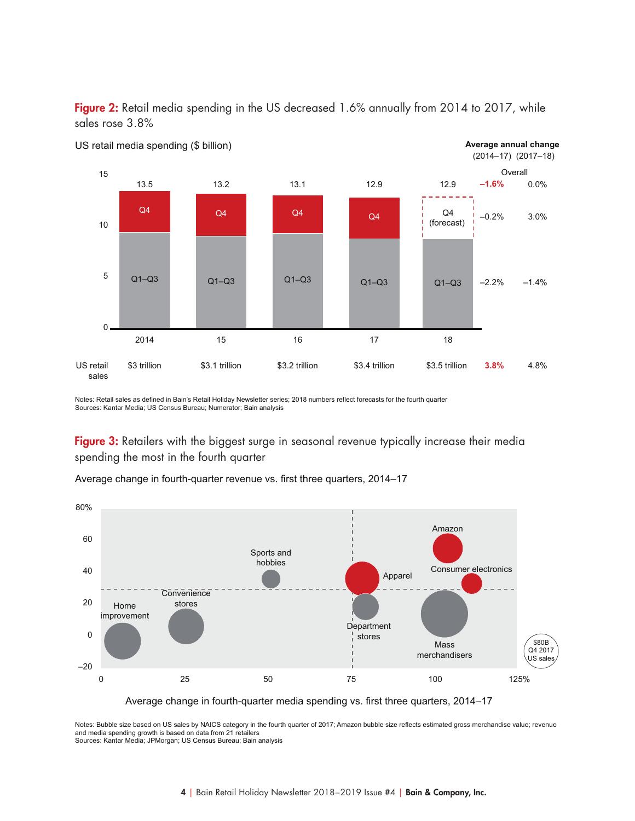

**Average annual change**



US retail media spending (\$ billion)

Notes: Retail sales as defined in Bain's Retail Holiday Newsletter series; 2018 numbers reflect forecasts for the fourth quarter Sources: Kantar Media; US Census Bureau; Numerator; Bain analysis

Figure 3: Retailers with the biggest surge in seasonal revenue typically increase their media spending the most in the fourth quarter

Average change in fourth-quarter revenue vs. first three quarters, 2014–17



Average change in fourth-quarter media spending vs. first three quarters, 2014–17

Notes: Bubble size based on US sales by NAICS category in the fourth quarter of 2017; Amazon bubble size reflects estimated gross merchandise value; revenue and media spending growth is based on data from 21 retailers Sources: Kantar Media; JPMorgan; US Census Bureau; Bain analysis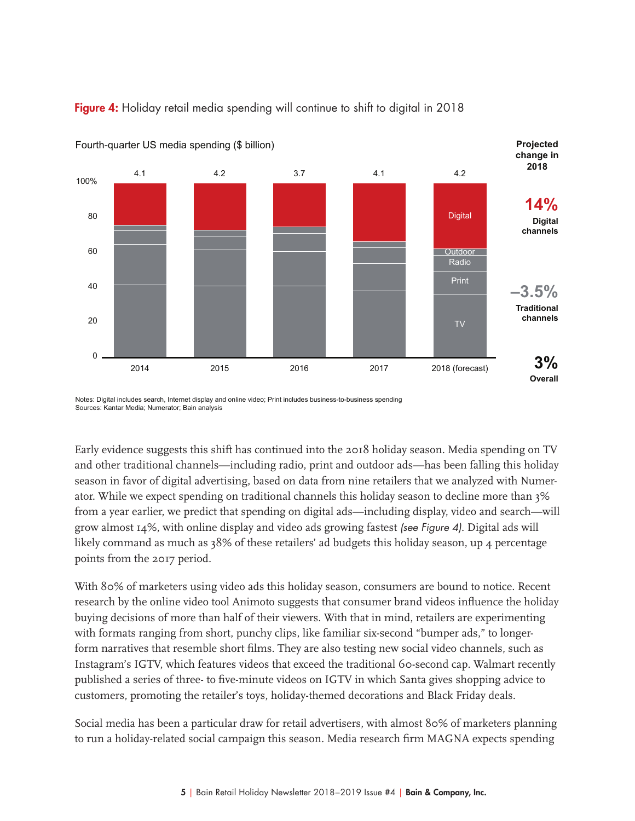

#### Figure 4: Holiday retail media spending will continue to shift to digital in 2018

Sources: Kantar Media; Numerator; Bain analysis

Early evidence suggests this shift has continued into the 2018 holiday season. Media spending on TV and other traditional channels—including radio, print and outdoor ads—has been falling this holiday season in favor of digital advertising, based on data from nine retailers that we analyzed with Numerator. While we expect spending on traditional channels this holiday season to decline more than 3% from a year earlier, we predict that spending on digital ads—including display, video and search—will grow almost  $14\%$ , with online display and video ads growing fastest (see Figure 4). Digital ads will likely command as much as 38% of these retailers' ad budgets this holiday season, up 4 percentage points from the 2017 period.

With 80% of marketers using video ads this holiday season, consumers are bound to notice. Recent research by the online video tool Animoto suggests that consumer brand videos influence the holiday buying decisions of more than half of their viewers. With that in mind, retailers are experimenting with formats ranging from short, punchy clips, like familiar six-second "bumper ads," to longerform narratives that resemble short films. They are also testing new social video channels, such as Instagram's IGTV, which features videos that exceed the traditional 60-second cap. Walmart recently published a series of three- to five-minute videos on IGTV in which Santa gives shopping advice to customers, promoting the retailer's toys, holiday-themed decorations and Black Friday deals.

Social media has been a particular draw for retail advertisers, with almost 80% of marketers planning to run a holiday-related social campaign this season. Media research firm MAGNA expects spending

Notes: Digital includes search, Internet display and online video; Print includes business-to-business spending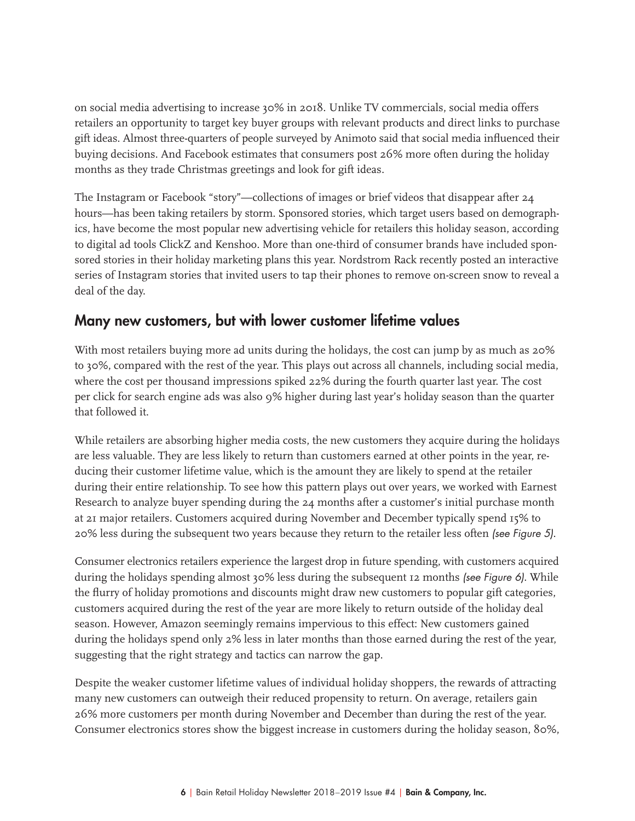on social media advertising to increase 30% in 2018. Unlike TV commercials, social media offers retailers an opportunity to target key buyer groups with relevant products and direct links to purchase gift ideas. Almost three-quarters of people surveyed by Animoto said that social media influenced their buying decisions. And Facebook estimates that consumers post 26% more often during the holiday months as they trade Christmas greetings and look for gift ideas.

The Instagram or Facebook "story"—collections of images or brief videos that disappear after 24 hours—has been taking retailers by storm. Sponsored stories, which target users based on demographics, have become the most popular new advertising vehicle for retailers this holiday season, according to digital ad tools ClickZ and Kenshoo. More than one-third of consumer brands have included sponsored stories in their holiday marketing plans this year. Nordstrom Rack recently posted an interactive series of Instagram stories that invited users to tap their phones to remove on-screen snow to reveal a deal of the day.

#### Many new customers, but with lower customer lifetime values

With most retailers buying more ad units during the holidays, the cost can jump by as much as 20% to 30%, compared with the rest of the year. This plays out across all channels, including social media, where the cost per thousand impressions spiked 22% during the fourth quarter last year. The cost per click for search engine ads was also 9% higher during last year's holiday season than the quarter that followed it.

While retailers are absorbing higher media costs, the new customers they acquire during the holidays are less valuable. They are less likely to return than customers earned at other points in the year, reducing their customer lifetime value, which is the amount they are likely to spend at the retailer during their entire relationship. To see how this pattern plays out over years, we worked with Earnest Research to analyze buyer spending during the 24 months after a customer's initial purchase month at 21 major retailers. Customers acquired during November and December typically spend 15% to 20% less during the subsequent two years because they return to the retailer less often (see Figure 5).

Consumer electronics retailers experience the largest drop in future spending, with customers acquired during the holidays spending almost 30% less during the subsequent 12 months (see Figure 6). While the flurry of holiday promotions and discounts might draw new customers to popular gift categories, customers acquired during the rest of the year are more likely to return outside of the holiday deal season. However, Amazon seemingly remains impervious to this effect: New customers gained during the holidays spend only 2% less in later months than those earned during the rest of the year, suggesting that the right strategy and tactics can narrow the gap.

Despite the weaker customer lifetime values of individual holiday shoppers, the rewards of attracting many new customers can outweigh their reduced propensity to return. On average, retailers gain 26% more customers per month during November and December than during the rest of the year. Consumer electronics stores show the biggest increase in customers during the holiday season, 80%,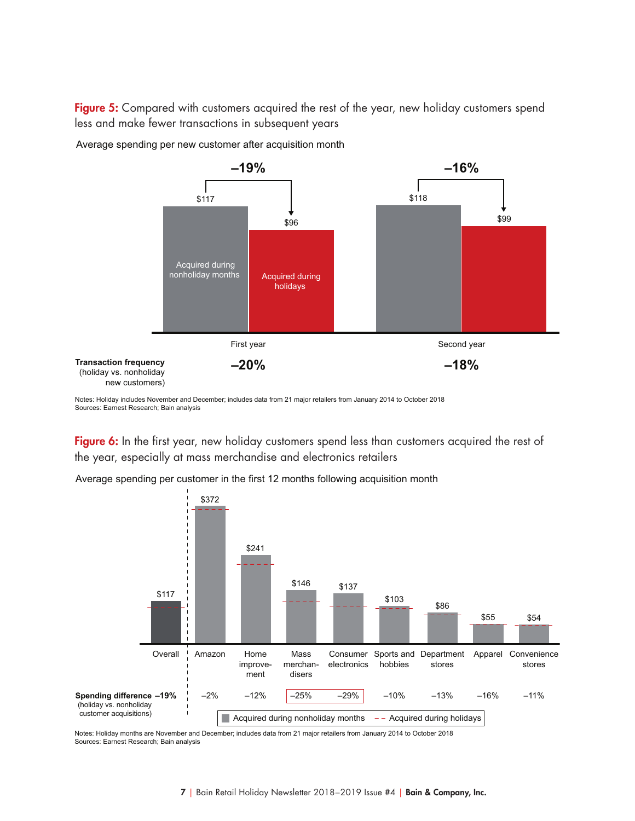Figure 5: Compared with customers acquired the rest of the year, new holiday customers spend less and make fewer transactions in subsequent years



Average spending per new customer after acquisition month

Notes: Holiday includes November and December; includes data from 21 major retailers from January 2014 to October 2018 Sources: Earnest Research; Bain analysis

Figure 6: In the first year, new holiday customers spend less than customers acquired the rest of the year, especially at mass merchandise and electronics retailers



Average spending per customer in the first 12 months following acquisition month

Notes: Holiday months are November and December; includes data from 21 major retailers from January 2014 to October 2018 Sources: Earnest Research; Bain analysis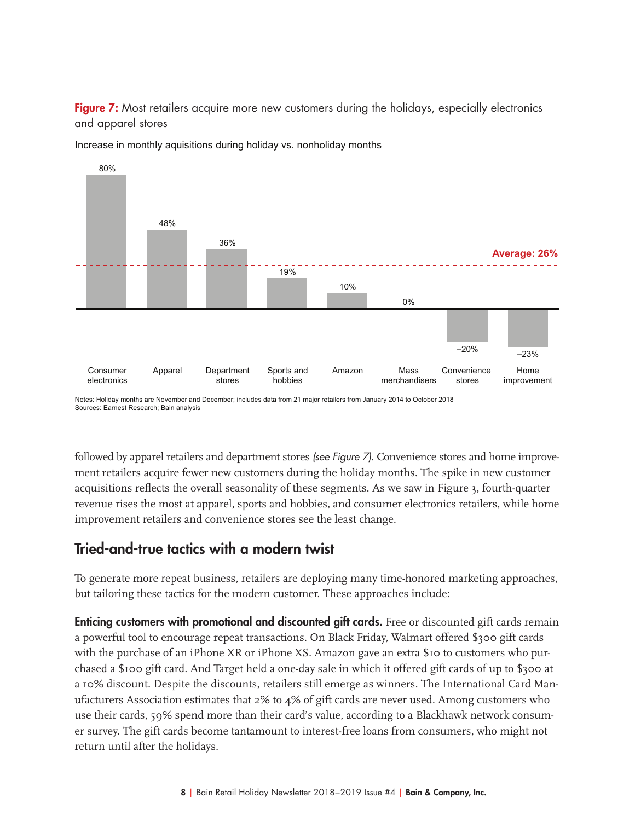Figure 7: Most retailers acquire more new customers during the holidays, especially electronics and apparel stores



Increase in monthly aquisitions during holiday vs. nonholiday months

followed by apparel retailers and department stores (see Figure 7). Convenience stores and home improvement retailers acquire fewer new customers during the holiday months. The spike in new customer acquisitions reflects the overall seasonality of these segments. As we saw in Figure 3, fourth-quarter revenue rises the most at apparel, sports and hobbies, and consumer electronics retailers, while home improvement retailers and convenience stores see the least change.

#### Tried-and-true tactics with a modern twist

To generate more repeat business, retailers are deploying many time-honored marketing approaches, but tailoring these tactics for the modern customer. These approaches include:

**Enticing customers with promotional and discounted gift cards.** Free or discounted gift cards remain a powerful tool to encourage repeat transactions. On Black Friday, Walmart offered \$300 gift cards with the purchase of an iPhone XR or iPhone XS. Amazon gave an extra \$10 to customers who purchased a \$100 gift card. And Target held a one-day sale in which it offered gift cards of up to \$300 at a 10% discount. Despite the discounts, retailers still emerge as winners. The International Card Manufacturers Association estimates that 2% to 4% of gift cards are never used. Among customers who use their cards, 59% spend more than their card's value, according to a Blackhawk network consumer survey. The gift cards become tantamount to interest-free loans from consumers, who might not return until after the holidays.

Notes: Holiday months are November and December; includes data from 21 major retailers from January 2014 to October 2018 Sources: Earnest Research; Bain analysis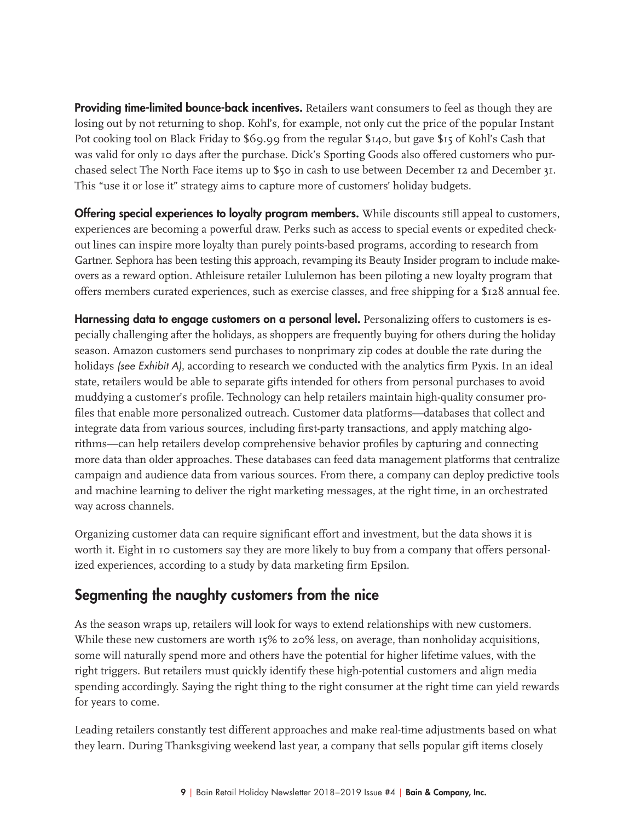**Providing time-limited bounce-back incentives.** Retailers want consumers to feel as though they are losing out by not returning to shop. Kohl's, for example, not only cut the price of the popular Instant Pot cooking tool on Black Friday to \$69.99 from the regular \$140, but gave \$15 of Kohl's Cash that was valid for only 10 days after the purchase. Dick's Sporting Goods also offered customers who purchased select The North Face items up to \$50 in cash to use between December 12 and December 31. This "use it or lose it" strategy aims to capture more of customers' holiday budgets.

**Offering special experiences to loyalty program members.** While discounts still appeal to customers, experiences are becoming a powerful draw. Perks such as access to special events or expedited checkout lines can inspire more loyalty than purely points-based programs, according to research from Gartner. Sephora has been testing this approach, revamping its Beauty Insider program to include makeovers as a reward option. Athleisure retailer Lululemon has been piloting a new loyalty program that offers members curated experiences, such as exercise classes, and free shipping for a \$128 annual fee.

Harnessing data to engage customers on a personal level. Personalizing offers to customers is especially challenging after the holidays, as shoppers are frequently buying for others during the holiday season. Amazon customers send purchases to nonprimary zip codes at double the rate during the holidays (see Exhibit A), according to research we conducted with the analytics firm Pyxis. In an ideal state, retailers would be able to separate gifts intended for others from personal purchases to avoid muddying a customer's profile. Technology can help retailers maintain high-quality consumer profiles that enable more personalized outreach. Customer data platforms—databases that collect and integrate data from various sources, including first-party transactions, and apply matching algorithms—can help retailers develop comprehensive behavior profiles by capturing and connecting more data than older approaches. These databases can feed data management platforms that centralize campaign and audience data from various sources. From there, a company can deploy predictive tools and machine learning to deliver the right marketing messages, at the right time, in an orchestrated way across channels.

Organizing customer data can require significant effort and investment, but the data shows it is worth it. Eight in 10 customers say they are more likely to buy from a company that offers personalized experiences, according to a study by data marketing firm Epsilon.

#### Segmenting the naughty customers from the nice

As the season wraps up, retailers will look for ways to extend relationships with new customers. While these new customers are worth 15% to 20% less, on average, than nonholiday acquisitions, some will naturally spend more and others have the potential for higher lifetime values, with the right triggers. But retailers must quickly identify these high-potential customers and align media spending accordingly. Saying the right thing to the right consumer at the right time can yield rewards for years to come.

Leading retailers constantly test different approaches and make real-time adjustments based on what they learn. During Thanksgiving weekend last year, a company that sells popular gift items closely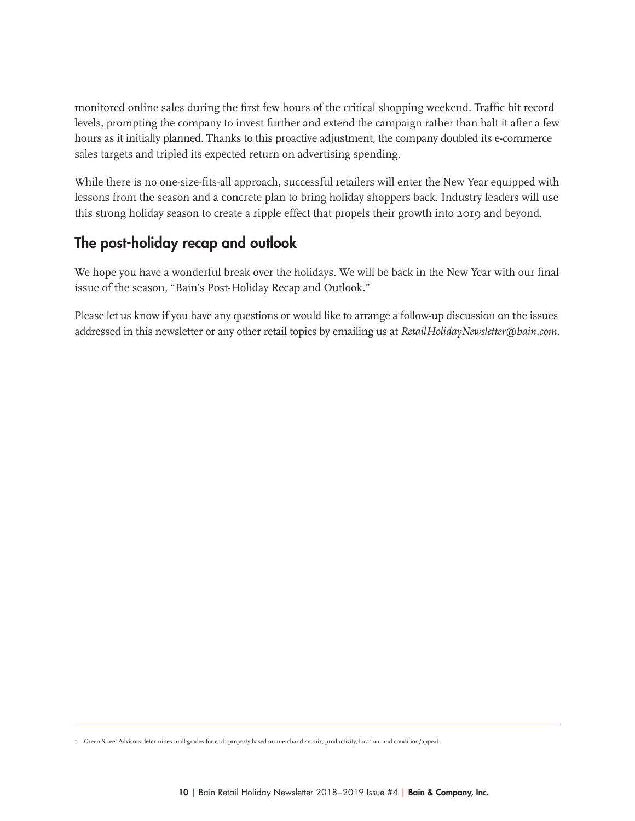monitored online sales during the first few hours of the critical shopping weekend. Traffic hit record levels, prompting the company to invest further and extend the campaign rather than halt it after a few hours as it initially planned. Thanks to this proactive adjustment, the company doubled its e-commerce sales targets and tripled its expected return on advertising spending.

While there is no one-size-fits-all approach, successful retailers will enter the New Year equipped with lessons from the season and a concrete plan to bring holiday shoppers back. Industry leaders will use this strong holiday season to create a ripple effect that propels their growth into 2019 and beyond.

## The post-holiday recap and outlook

We hope you have a wonderful break over the holidays. We will be back in the New Year with our final issue of the season, "Bain's Post-Holiday Recap and Outlook."

Please let us know if you have any questions or would like to arrange a follow-up discussion on the issues addressed in this newsletter or any other retail topics by emailing us at *RetailHolidayNewsletter@bain.com.*

1 Green Street Advisors determines mall grades for each property based on merchandise mix, productivity, location, and condition/appeal.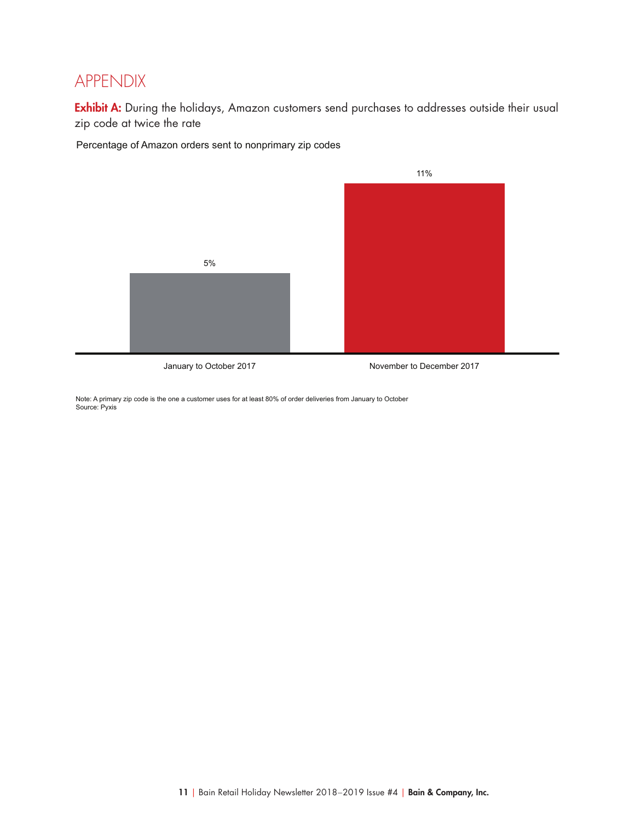## APPENDIX

Exhibit A: During the holidays, Amazon customers send purchases to addresses outside their usual zip code at twice the rate

Percentage of Amazon orders sent to nonprimary zip codes



January to October 2017

November to December 2017

Note: A primary zip code is the one a customer uses for at least 80% of order deliveries from January to October Source: Pyxis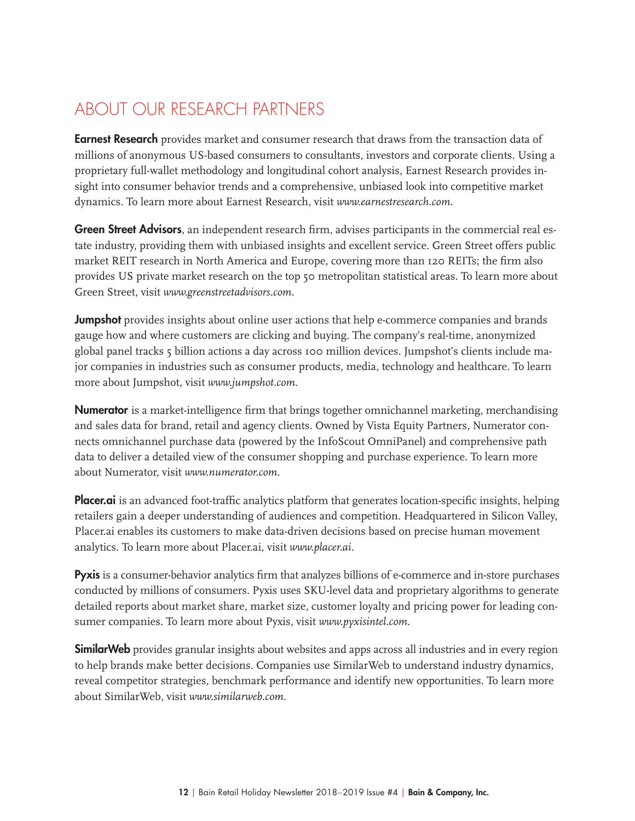## ABOUT OUR RESEARCH PARTNERS

**Earnest Research** provides market and consumer research that draws from the transaction data of millions of anonymous US-based consumers to consultants, investors and corporate clients. Using a proprietary full-wallet methodology and longitudinal cohort analysis, Earnest Research provides insight into consumer behavior trends and a comprehensive, unbiased look into competitive market dynamics. To learn more about Earnest Research, visit *www.earnestresearch.com*.

Green Street Advisors, an independent research firm, advises participants in the commercial real estate industry, providing them with unbiased insights and excellent service. Green Street offers public market REIT research in North America and Europe, covering more than 120 REITs; the firm also provides US private market research on the top 50 metropolitan statistical areas. To learn more about Green Street, visit *www.greenstreetadvisors.com*.

**Jumpshot** provides insights about online user actions that help e-commerce companies and brands gauge how and where customers are clicking and buying. The company's real-time, anonymized global panel tracks 5 billion actions a day across 100 million devices. Jumpshot's clients include major companies in industries such as consumer products, media, technology and healthcare. To learn more about Jumpshot, visit *www.jumpshot.com*.

Numerator is a market-intelligence firm that brings together omnichannel marketing, merchandising and sales data for brand, retail and agency clients. Owned by Vista Equity Partners, Numerator connects omnichannel purchase data (powered by the InfoScout OmniPanel) and comprehensive path data to deliver a detailed view of the consumer shopping and purchase experience. To learn more about Numerator, visit *www.numerator.com*.

**Placer.ai** is an advanced foot-traffic analytics platform that generates location-specific insights, helping retailers gain a deeper understanding of audiences and competition. Headquartered in Silicon Valley, Placer.ai enables its customers to make data-driven decisions based on precise human movement analytics. To learn more about Placer.ai, visit *www.placer.ai*.

Pyxis is a consumer-behavior analytics firm that analyzes billions of e-commerce and in-store purchases conducted by millions of consumers. Pyxis uses SKU-level data and proprietary algorithms to generate detailed reports about market share, market size, customer loyalty and pricing power for leading consumer companies. To learn more about Pyxis, visit *www.pyxisintel.com*.

**SimilarWeb** provides granular insights about websites and apps across all industries and in every region to help brands make better decisions. Companies use SimilarWeb to understand industry dynamics, reveal competitor strategies, benchmark performance and identify new opportunities. To learn more about SimilarWeb, visit *www.similarweb.com*.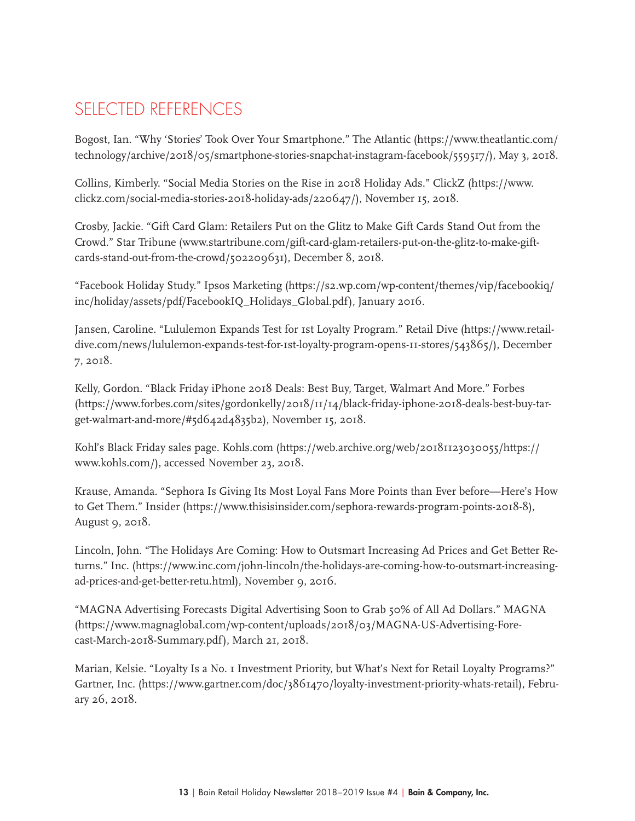# SELECTED REFERENCES

Bogost, Ian. "Why 'Stories' Took Over Your Smartphone." The Atlantic (https://www.theatlantic.com/ technology/archive/2018/05/smartphone-stories-snapchat-instagram-facebook/559517/), May 3, 2018.

Collins, Kimberly. "Social Media Stories on the Rise in 2018 Holiday Ads." ClickZ (https://www. clickz.com/social-media-stories-2018-holiday-ads/220647/), November 15, 2018.

Crosby, Jackie. "Gift Card Glam: Retailers Put on the Glitz to Make Gift Cards Stand Out from the Crowd." Star Tribune (www.startribune.com/gift-card-glam-retailers-put-on-the-glitz-to-make-giftcards-stand-out-from-the-crowd/502209631), December 8, 2018.

"Facebook Holiday Study." Ipsos Marketing (https://s2.wp.com/wp-content/themes/vip/facebookiq/ inc/holiday/assets/pdf/FacebookIQ\_Holidays\_Global.pdf), January 2016.

Jansen, Caroline. "Lululemon Expands Test for 1st Loyalty Program." Retail Dive (https://www.retaildive.com/news/lululemon-expands-test-for-1st-loyalty-program-opens-11-stores/543865/), December 7, 2018.

Kelly, Gordon. "Black Friday iPhone 2018 Deals: Best Buy, Target, Walmart And More." Forbes (https://www.forbes.com/sites/gordonkelly/2018/11/14/black-friday-iphone-2018-deals-best-buy-target-walmart-and-more/#5d642d4835b2), November 15, 2018.

Kohl's Black Friday sales page. Kohls.com (https://web.archive.org/web/20181123030055/https:// www.kohls.com/), accessed November 23, 2018.

Krause, Amanda. "Sephora Is Giving Its Most Loyal Fans More Points than Ever before—Here's How to Get Them." Insider (https://www.thisisinsider.com/sephora-rewards-program-points-2018-8), August 9, 2018.

Lincoln, John. "The Holidays Are Coming: How to Outsmart Increasing Ad Prices and Get Better Returns." Inc. (https://www.inc.com/john-lincoln/the-holidays-are-coming-how-to-outsmart-increasingad-prices-and-get-better-retu.html), November 9, 2016.

"MAGNA Advertising Forecasts Digital Advertising Soon to Grab 50% of All Ad Dollars." MAGNA (https://www.magnaglobal.com/wp-content/uploads/2018/03/MAGNA-US-Advertising-Forecast-March-2018-Summary.pdf), March 21, 2018.

Marian, Kelsie. "Loyalty Is a No. 1 Investment Priority, but What's Next for Retail Loyalty Programs?" Gartner, Inc. (https://www.gartner.com/doc/3861470/loyalty-investment-priority-whats-retail), February 26, 2018.